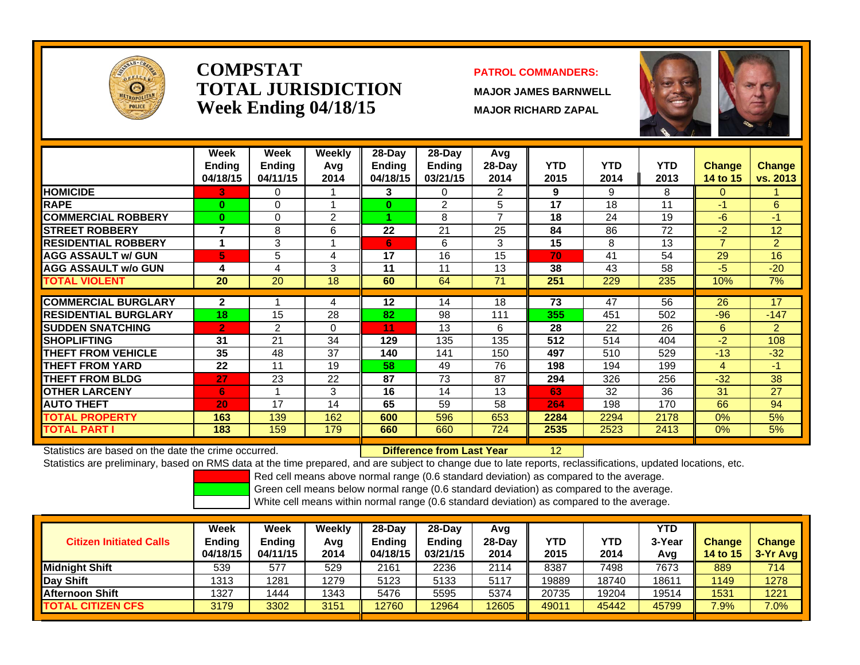

### **COMPSTATTOTAL JURISDICTIONWeek Ending 04/18/15 MAJOR RICHARD ZAPAL**

#### **PATROL COMMANDERS:**

**MAJOR JAMES BARNWELL**

12



|                             | Week                      | Week                      | <b>Weekly</b>  | $28$ -Day                 | $28$ -Day          | Avg              |                    |             |                    |                    |                    |
|-----------------------------|---------------------------|---------------------------|----------------|---------------------------|--------------------|------------------|--------------------|-------------|--------------------|--------------------|--------------------|
|                             | <b>Ending</b><br>04/18/15 | <b>Ending</b><br>04/11/15 | Avg<br>2014    | <b>Ending</b><br>04/18/15 | Ending<br>03/21/15 | $28-Day$<br>2014 | <b>YTD</b><br>2015 | YTD<br>2014 | <b>YTD</b><br>2013 | Change<br>14 to 15 | Change<br>vs. 2013 |
| <b>HOMICIDE</b>             |                           | 0                         |                |                           | 0                  | 2                | 9                  | 9           | 8                  | $\Omega$           |                    |
|                             | 3.                        |                           |                | 3                         |                    |                  |                    |             |                    |                    |                    |
| <b>RAPE</b>                 | 0                         | 0                         |                | $\bf{0}$                  | 2                  | 5                | 17                 | 18          | 11                 | -1                 | 6                  |
| <b>COMMERCIAL ROBBERY</b>   | $\bf{0}$                  | 0                         | $\overline{2}$ |                           | 8                  | 7                | 18                 | 24          | 19                 | $-6$               | $-1$               |
| <b>STREET ROBBERY</b>       | 7                         | 8                         | 6              | 22                        | 21                 | 25               | 84                 | 86          | 72                 | $-2$               | 12                 |
| <b>RESIDENTIAL ROBBERY</b>  | и                         | 3                         |                | 6                         | 6                  | 3                | 15                 | 8           | 13                 | $\overline{7}$     | $\overline{2}$     |
| <b>AGG ASSAULT w/ GUN</b>   | 5                         | 5                         | 4              | 17                        | 16                 | 15               | 70                 | 41          | 54                 | 29                 | 16                 |
| <b>AGG ASSAULT w/o GUN</b>  | 4                         | 4                         | 3              | 11                        | 11                 | 13               | 38                 | 43          | 58                 | $-5$               | $-20$              |
| <b>TOTAL VIOLENT</b>        | 20                        | 20                        | 18             | 60                        | 64                 | 71               | 251                | 229         | 235                | 10%                | 7%                 |
|                             |                           |                           |                |                           |                    |                  |                    |             |                    |                    |                    |
| <b>COMMERCIAL BURGLARY</b>  | $\mathbf{2}$              |                           | 4              | 12                        | 14                 | 18               | 73                 | 47          | 56                 | 26                 | 17                 |
| <b>RESIDENTIAL BURGLARY</b> | 18                        | 15                        | 28             | 82                        | 98                 | 111              | 355                | 451         | 502                | $-96$              | $-147$             |
| <b>ISUDDEN SNATCHING</b>    | $\overline{2}$            | $\overline{2}$            | $\Omega$       | 11                        | 13                 | 6                | 28                 | 22          | 26                 | 6                  | $\overline{2}$     |
| <b>SHOPLIFTING</b>          | 31                        | 21                        | 34             | 129                       | 135                | 135              | 512                | 514         | 404                | $-2$               | 108                |
| <b>THEFT FROM VEHICLE</b>   | 35                        | 48                        | 37             | 140                       | 141                | 150              | 497                | 510         | 529                | $-13$              | $-32$              |
| <b>THEFT FROM YARD</b>      | 22                        | 11                        | 19             | 58                        | 49                 | 76               | 198                | 194         | 199                | 4                  | $-1$               |
| <b>THEFT FROM BLDG</b>      | 27                        | 23                        | 22             | 87                        | 73                 | 87               | 294                | 326         | 256                | $-32$              | 38                 |
| <b>OTHER LARCENY</b>        | 6                         |                           | 3              | 16                        | 14                 | 13               | 63                 | 32          | 36                 | 31                 | 27                 |
| <b>AUTO THEFT</b>           | 20                        | 17                        | 14             | 65                        | 59                 | 58               | 264                | 198         | 170                | 66                 | 94                 |
| <b>TOTAL PROPERTY</b>       | 163                       | 139                       | 162            | 600                       | 596                | 653              | 2284               | 2294        | 2178               | $0\%$              | 5%                 |
| <b>TOTAL PART I</b>         | 183                       | 159                       | 179            | 660                       | 660                | 724              | 2535               | 2523        | 2413               | $0\%$              | 5%                 |

Statistics are based on the date the crime occurred. **Difference from Last Year** 

Statistics are preliminary, based on RMS data at the time prepared, and are subject to change due to late reports, reclassifications, updated locations, etc.

Red cell means above normal range (0.6 standard deviation) as compared to the average.

Green cell means below normal range (0.6 standard deviation) as compared to the average.

| <b>Citizen Initiated Calls</b> | Week<br>Ending<br>04/18/15 | Week<br>Ending<br>04/11/15 | Weekly<br>Avg<br>2014 | 28-Dav<br>Ending<br>04/18/15 | $28-Dav$<br><b>Ending</b><br>03/21/15 | Avg<br>$28-Dav$<br>2014 | YTD<br>2015 | YTD<br>2014 | YTD<br>3-Year<br>Avg | <b>Change</b><br><b>14 to 15</b> | <b>Change</b><br>$3-Yr$ Avg |
|--------------------------------|----------------------------|----------------------------|-----------------------|------------------------------|---------------------------------------|-------------------------|-------------|-------------|----------------------|----------------------------------|-----------------------------|
| Midnight Shift                 | 539                        | 577                        | 529                   | 2161                         | 2236                                  | 2114                    | 8387        | 7498        | 7673                 | 889                              | 714                         |
| <b>Day Shift</b>               | 1313                       | 1281                       | 1279                  | 5123                         | 5133                                  | 5117                    | 19889       | 18740       | 1861                 | 1149                             | 1278                        |
| <b>Afternoon Shift</b>         | 1327                       | 1444                       | 1343                  | 5476                         | 5595                                  | 5374                    | 20735       | 19204       | 19514                | 1531                             | 1221                        |
| <b>TOTAL CITIZEN CFS</b>       | 3179                       | 3302                       | 3151                  | 12760                        | 12964                                 | 12605                   | 49011       | 45442       | 45799                | 7.9%                             | $7.0\%$                     |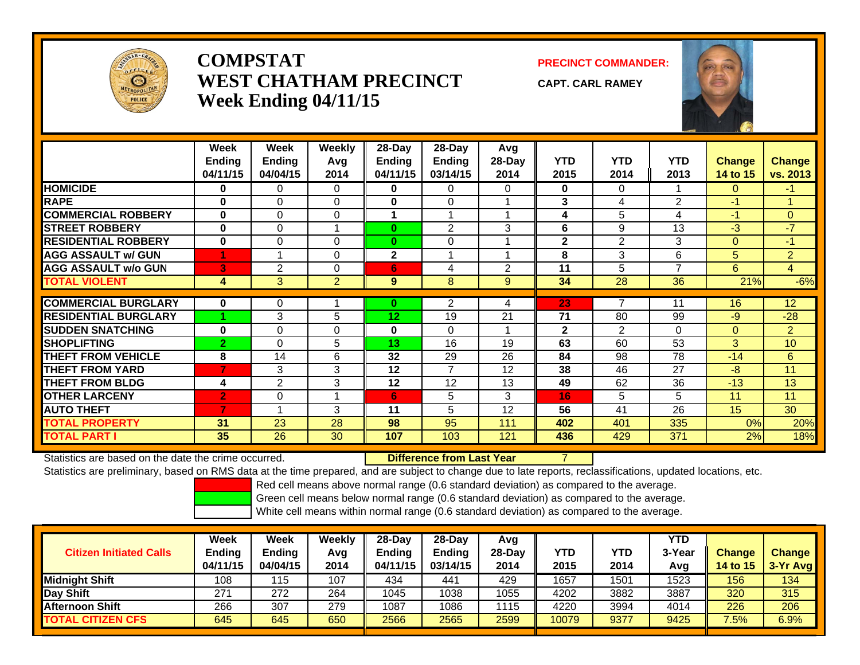

# **COMPSTATWEST CHATHAM PRECINCTWeek Ending 04/11/15**

**PRECINCT COMMANDER:**

**CAPT. CARL RAMEY**



|                             | Week<br><b>Ending</b><br>04/11/15 | Week<br><b>Ending</b><br>04/04/15 | <b>Weekly</b><br>Avq<br>2014 | $28-Day$<br><b>Ending</b><br>04/11/15 | 28-Day<br><b>Ending</b><br>03/14/15 | Avg<br>28-Day<br>2014 | <b>YTD</b><br>2015 | <b>YTD</b><br>2014 | <b>YTD</b><br>2013 | <b>Change</b><br><b>14 to 15</b> | <b>Change</b><br>vs. 2013 |
|-----------------------------|-----------------------------------|-----------------------------------|------------------------------|---------------------------------------|-------------------------------------|-----------------------|--------------------|--------------------|--------------------|----------------------------------|---------------------------|
| <b>HOMICIDE</b>             | 0                                 | 0                                 | 0                            | 0                                     | 0                                   | 0                     | $\mathbf{0}$       | 0                  |                    | $\mathbf{0}$                     | -1                        |
| <b>RAPE</b>                 | $\bf{0}$                          | 0                                 | $\Omega$                     | $\bf{0}$                              | $\Omega$                            |                       | 3                  | 4                  | 2                  | $-1$                             | -1                        |
| <b>COMMERCIAL ROBBERY</b>   | $\mathbf{0}$                      | 0                                 | $\Omega$                     | 4                                     | $\overline{\mathbf{A}}$             |                       | 4                  | 5                  | 4                  | $-1$                             | $\Omega$                  |
| <b>STREET ROBBERY</b>       | $\bf{0}$                          | $\Omega$                          |                              | $\bf{0}$                              | $\overline{2}$                      | 3                     | 6                  | 9                  | 13                 | $-3$                             | -7                        |
| <b>RESIDENTIAL ROBBERY</b>  | 0                                 | $\Omega$                          | $\Omega$                     | $\bf{0}$                              | $\Omega$                            |                       | $\mathbf{2}$       | $\overline{2}$     | 3                  | $\Omega$                         | $-1$                      |
| <b>AGG ASSAULT w/ GUN</b>   |                                   | -4                                | 0                            | $\mathbf{2}$                          |                                     |                       | 8                  | 3                  | 6                  | 5                                | 2                         |
| <b>AGG ASSAULT w/o GUN</b>  | 3                                 | 2                                 | $\Omega$                     | 6                                     | 4                                   | 2                     | 11                 | 5                  | 7                  | 6                                | 4                         |
| <b>TOTAL VIOLENT</b>        | 4                                 | 3                                 | $\overline{2}$               | 9                                     | 8                                   | 9                     | 34                 | 28                 | 36                 | 21%                              | $-6%$                     |
|                             |                                   |                                   |                              |                                       |                                     |                       |                    |                    |                    |                                  |                           |
| <b>COMMERCIAL BURGLARY</b>  | $\bf{0}$                          | $\Omega$                          |                              | $\bf{0}$                              | 2                                   | 4                     | 23                 | 7                  | 11                 | 16                               | 12                        |
| <b>RESIDENTIAL BURGLARY</b> |                                   | 3                                 | 5                            | 12                                    | 19                                  | 21                    | 71                 | 80                 | 99                 | $-9$                             | $-28$                     |
| <b>SUDDEN SNATCHING</b>     | 0                                 | $\Omega$                          | 0                            | $\bf{0}$                              | $\Omega$                            |                       | $\overline{2}$     | $\overline{2}$     | $\Omega$           | $\Omega$                         | $\overline{2}$            |
| <b>SHOPLIFTING</b>          | 2                                 | $\Omega$                          | 5.                           | 13                                    | 16                                  | 19                    | 63                 | 60                 | 53                 | 3                                | 10                        |
| <b>THEFT FROM VEHICLE</b>   | 8                                 | 14                                | 6                            | 32                                    | 29                                  | 26                    | 84                 | 98                 | 78                 | $-14$                            | 6                         |
| <b>THEFT FROM YARD</b>      | 7                                 | 3                                 | 3                            | 12                                    | 7                                   | 12                    | 38                 | 46                 | 27                 | $-8$                             | 11                        |
| <b>THEFT FROM BLDG</b>      | 4                                 | $\overline{2}$                    | 3                            | 12                                    | 12                                  | 13                    | 49                 | 62                 | 36                 | $-13$                            | 13                        |
| <b>OTHER LARCENY</b>        | $\overline{2}$                    | 0                                 | ٠                            | 6                                     | 5                                   | 3                     | 16                 | 5                  | 5                  | 11                               | 11                        |
| <b>AUTO THEFT</b>           | 7                                 |                                   | 3                            | 11                                    | 5                                   | 12                    | 56                 | 41                 | 26                 | 15                               | 30                        |
| <b>TOTAL PROPERTY</b>       | 31                                | 23                                | 28                           | 98                                    | 95                                  | 111                   | 402                | 401                | 335                | 0%                               | 20%                       |
| <b>TOTAL PART I</b>         | $35\phantom{.0}$                  | 26                                | 30                           | 107                                   | 103                                 | 121                   | 436                | 429                | 371                | 2%                               | 18%                       |

Statistics are based on the date the crime occurred.

**Difference from Last Year** 7

Statistics are preliminary, based on RMS data at the time prepared, and are subject to change due to late reports, reclassifications, updated locations, etc.

Red cell means above normal range (0.6 standard deviation) as compared to the average.

Green cell means below normal range (0.6 standard deviation) as compared to the average.

| Week<br><b>Ending</b><br>04/11/15 | <b>Week</b><br><b>Ending</b><br>04/04/15 | Weekly<br>Avg<br>2014 | $28-Dav$<br><b>Ending</b><br>04/11/15 | $28-Dav$<br><b>Ending</b><br>03/14/15 | Avg<br>28-Day<br>2014 | <b>YTD</b><br>2015 | YTD<br>2014 | YTD<br>3-Year<br>Avg | <b>Change</b><br><b>14 to 15</b> | <b>Change</b><br>3-Yr Avg |
|-----------------------------------|------------------------------------------|-----------------------|---------------------------------------|---------------------------------------|-----------------------|--------------------|-------------|----------------------|----------------------------------|---------------------------|
| 108                               | 15                                       | 107                   | 434                                   | 441                                   | 429                   | 1657               | 1501        | 1523                 | 156                              | 134                       |
| 271                               | 272                                      | 264                   | 1045                                  | 1038                                  | 1055                  | 4202               | 3882        | 3887                 | 320                              | 315                       |
| 266                               | 307                                      | 279                   | 1087                                  | 086                                   | 1115                  | 4220               | 3994        | 4014                 | 226                              | 206                       |
| 645                               | 645                                      | 650                   | 2566                                  | 2565                                  | 2599                  | 10079              | 9377        | 9425                 | 7.5%                             | 6.9%                      |
|                                   |                                          |                       |                                       |                                       |                       |                    |             |                      |                                  |                           |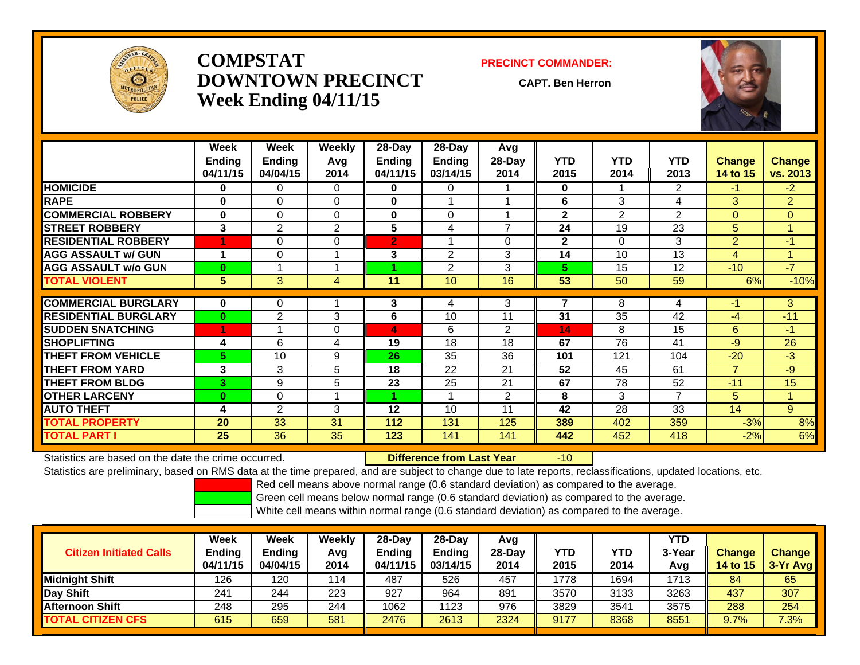

# **COMPSTATDOWNTOWN PRECINCTWeek Ending 04/11/15**

#### **PRECINCT COMMANDER:**

**CAPT. Ben Herron**

-10



|                             | Week<br><b>Ending</b><br>04/11/15 | Week<br><b>Ending</b><br>04/04/15 | Weekly<br>Avq<br>2014 | $28-Day$<br><b>Ending</b><br>04/11/15 | $28$ -Day<br>Ending<br>03/14/15 | Avg<br>$28$ -Day<br>2014 | <b>YTD</b><br>2015 | <b>YTD</b><br>2014 | <b>YTD</b><br>2013 | <b>Change</b><br>14 to 15 | <b>Change</b><br>vs. 2013 |
|-----------------------------|-----------------------------------|-----------------------------------|-----------------------|---------------------------------------|---------------------------------|--------------------------|--------------------|--------------------|--------------------|---------------------------|---------------------------|
| <b>HOMICIDE</b>             | 0                                 | 0                                 | $\Omega$              | $\mathbf{0}$                          | 0                               |                          | $\mathbf{0}$       |                    | $\overline{2}$     | -1                        | $-2$                      |
| <b>RAPE</b>                 | $\bf{0}$                          | $\Omega$                          | $\Omega$              | $\bf{0}$                              |                                 |                          | 6                  | 3                  | 4                  | 3                         | $\overline{2}$            |
| <b>COMMERCIAL ROBBERY</b>   | 0                                 | $\Omega$                          | $\Omega$              | $\bf{0}$                              | $\Omega$                        |                          | $\overline{2}$     | 2                  | $\overline{2}$     | 0                         | $\mathbf{0}$              |
| <b>STREET ROBBERY</b>       | 3                                 | 2                                 | $\overline{2}$        | 5                                     | 4                               | $\overline{ }$           | 24                 | 19                 | 23                 | 5                         | 1                         |
| <b>RESIDENTIAL ROBBERY</b>  |                                   | $\Omega$                          | $\Omega$              | $\overline{2}$                        |                                 | 0                        | $\overline{2}$     | $\Omega$           | 3                  | $\overline{2}$            | $-1$                      |
| <b>AGG ASSAULT w/ GUN</b>   | 4                                 | $\Omega$                          |                       | 3                                     | 2                               | 3                        | 14                 | 10                 | 13                 | 4                         | $\mathbf{1}$              |
| <b>AGG ASSAULT w/o GUN</b>  | $\bf{0}$                          |                                   |                       |                                       | 2                               | 3                        | 5.                 | 15                 | 12                 | $-10$                     | $-7$                      |
| <b>TOTAL VIOLENT</b>        | 5                                 | 3                                 | 4                     | 11                                    | 10                              | 16                       | 53                 | 50                 | 59                 | 6%                        | $-10%$                    |
|                             |                                   |                                   |                       |                                       |                                 |                          |                    |                    |                    |                           |                           |
| <b>COMMERCIAL BURGLARY</b>  | $\bf{0}$                          | 0                                 |                       | 3                                     | 4                               | 3                        | 7                  | 8                  | 4                  | -1                        | 3                         |
| <b>RESIDENTIAL BURGLARY</b> | $\bf{0}$                          | 2                                 | 3                     | 6                                     | 10                              | 11                       | 31                 | 35                 | 42                 | $-4$                      | $-11$                     |
| <b>SUDDEN SNATCHING</b>     |                                   |                                   | $\Omega$              | 4                                     | 6                               | $\overline{2}$           | 14                 | 8                  | 15                 | 6                         | $-1$                      |
| <b>SHOPLIFTING</b>          | 4                                 | 6                                 | 4                     | 19                                    | 18                              | 18                       | 67                 | 76                 | 41                 | $-9$                      | 26                        |
| <b>THEFT FROM VEHICLE</b>   | 5.                                | 10                                | 9                     | 26                                    | 35                              | 36                       | 101                | 121                | 104                | $-20$                     | $-3$                      |
| <b>THEFT FROM YARD</b>      | 3                                 | 3                                 | 5                     | 18                                    | 22                              | 21                       | 52                 | 45                 | 61                 | $\overline{7}$            | $-9$                      |
| <b>THEFT FROM BLDG</b>      | 3.                                | 9                                 | 5                     | 23                                    | 25                              | 21                       | 67                 | 78                 | 52                 | $-11$                     | 15                        |
| <b>OTHER LARCENY</b>        | $\mathbf{0}$                      | $\Omega$                          |                       |                                       |                                 | $\overline{2}$           | 8                  | 3                  | 7                  | 5                         | 1                         |
| <b>AUTO THEFT</b>           | 4                                 | 2                                 | 3                     | 12                                    | 10                              | 11                       | 42                 | 28                 | 33                 | 14                        | 9                         |
| <b>TOTAL PROPERTY</b>       | 20                                | 33                                | 31                    | 112                                   | 131                             | 125                      | 389                | 402                | 359                | $-3%$                     | 8%                        |
| <b>TOTAL PART I</b>         | 25                                | 36                                | 35                    | 123                                   | 141                             | 141                      | 442                | 452                | 418                | $-2%$                     | 6%                        |

Statistics are based on the date the crime occurred. **Difference from Last Year** 

Statistics are preliminary, based on RMS data at the time prepared, and are subject to change due to late reports, reclassifications, updated locations, etc.

Red cell means above normal range (0.6 standard deviation) as compared to the average.

Green cell means below normal range (0.6 standard deviation) as compared to the average.

| <b>Citizen Initiated Calls</b> | Week<br><b>Ending</b><br>04/11/15 | <b>Week</b><br><b>Ending</b><br>04/04/15 | Weekly<br>Avg<br>2014 | $28-Dav$<br><b>Ending</b><br>04/11/15 | 28-Dav<br><b>Ending</b><br>03/14/15 | Avg<br>$28-Day$<br>2014 | <b>YTD</b><br>2015 | YTD<br>2014 | YTD<br>3-Year<br>Avg | <b>Change</b><br><b>14 to 15</b> | <b>Change</b><br>3-Yr Avg |
|--------------------------------|-----------------------------------|------------------------------------------|-----------------------|---------------------------------------|-------------------------------------|-------------------------|--------------------|-------------|----------------------|----------------------------------|---------------------------|
| <b>Midnight Shift</b>          | 126                               | 120                                      | 114                   | 487                                   | 526                                 | 457                     | 1778               | 1694        | 1713                 | 84                               | 65                        |
| <b>Day Shift</b>               | 241                               | 244                                      | 223                   | 927                                   | 964                                 | 891                     | 3570               | 3133        | 3263                 | 437                              | 307                       |
| IAfternoon Shift               | 248                               | 295                                      | 244                   | 1062                                  | 123                                 | 976                     | 3829               | 3541        | 3575                 | 288                              | 254                       |
| <b>TOTAL CITIZEN CFS</b>       | 615                               | 659                                      | 581                   | 2476                                  | 2613                                | 2324                    | 9177               | 8368        | 8551                 | 9.7%                             | 7.3%                      |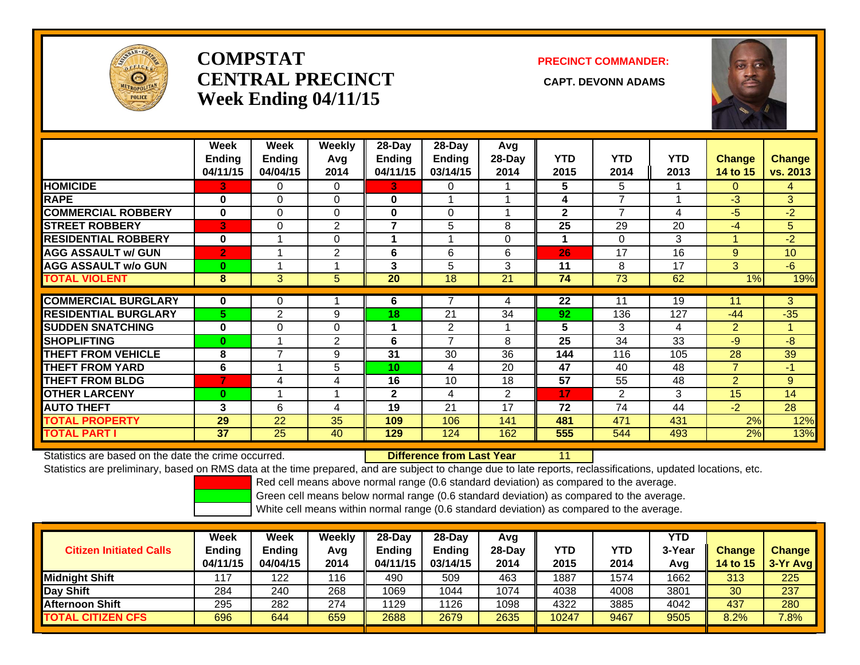

# **COMPSTATCENTRAL PRECINCT CAPT. DEVONN ADAMSWeek Ending 04/11/15**

### **PRECINCT COMMANDER:**



|                             | Week<br><b>Ending</b><br>04/11/15 | Week<br>Ending<br>04/04/15 | <b>Weekly</b><br>Avq<br>2014 | 28-Day<br>Ending<br>04/11/15 | 28-Day<br><b>Ending</b><br>03/14/15 | Avg<br>28-Day<br>2014 | <b>YTD</b><br>2015 | <b>YTD</b><br>2014 | <b>YTD</b><br>2013 | <b>Change</b><br>14 to 15 | <b>Change</b><br>vs. 2013 |
|-----------------------------|-----------------------------------|----------------------------|------------------------------|------------------------------|-------------------------------------|-----------------------|--------------------|--------------------|--------------------|---------------------------|---------------------------|
| <b>HOMICIDE</b>             | 3.                                | 0                          | 0                            | 3                            | 0                                   |                       | 5                  | 5                  |                    | 0                         | 4                         |
| <b>RAPE</b>                 | $\bf{0}$                          | $\Omega$                   | $\Omega$                     | 0                            |                                     |                       | 4                  | 7                  |                    | $-3$                      | 3                         |
| <b>COMMERCIAL ROBBERY</b>   | $\bf{0}$                          | $\Omega$                   | $\Omega$                     | 0                            | $\Omega$                            |                       | $\mathbf{2}$       | 7                  | 4                  | $-5$                      | $-2$                      |
| <b>STREET ROBBERY</b>       | 3                                 | 0                          | $\mathbf{2}$                 | $\overline{7}$               | 5                                   | 8                     | 25                 | 29                 | 20                 | $-4$                      | 5                         |
| <b>RESIDENTIAL ROBBERY</b>  | $\bf{0}$                          |                            | $\Omega$                     |                              |                                     | $\Omega$              | 1                  | 0                  | 3                  |                           | $-2$                      |
| <b>AGG ASSAULT w/ GUN</b>   | $\overline{2}$                    |                            | $\overline{2}$               | 6                            | 6                                   | 6                     | 26                 | 17                 | 16                 | 9                         | 10                        |
| <b>AGG ASSAULT w/o GUN</b>  | $\mathbf{0}$                      |                            |                              | 3                            | 5                                   | 3                     | 11                 | 8                  | 17                 | 3                         | $-6$                      |
| <b>TOTAL VIOLENT</b>        | 8                                 | 3                          | 5                            | 20                           | 18                                  | 21                    | 74                 | 73                 | 62                 | 1%                        | 19%                       |
| <b>COMMERCIAL BURGLARY</b>  | $\bf{0}$                          |                            |                              |                              |                                     |                       |                    |                    | 19                 |                           |                           |
|                             |                                   | 0                          |                              | 6                            |                                     | 4                     | 22                 | 11                 |                    | 11                        | 3                         |
| <b>RESIDENTIAL BURGLARY</b> | 5.                                | 2                          | 9                            | 18                           | 21                                  | 34                    | 92                 | 136                | 127                | $-44$                     | $-35$                     |
| <b>SUDDEN SNATCHING</b>     | $\bf{0}$                          | $\Omega$                   | $\Omega$                     | 1                            | 2                                   |                       | 5                  | 3                  | 4                  | $\overline{2}$            | 1                         |
| <b>SHOPLIFTING</b>          | $\bf{0}$                          |                            | 2                            | 6                            | $\overline{7}$                      | 8                     | 25                 | 34                 | 33                 | $-9$                      | $-8$                      |
| <b>THEFT FROM VEHICLE</b>   | 8                                 | $\overline{\phantom{a}}$   | 9                            | 31                           | 30                                  | 36                    | 144                | 116                | 105                | 28                        | 39                        |
| <b>THEFT FROM YARD</b>      | 6                                 |                            | 5                            | 10 <sup>1</sup>              | 4                                   | 20                    | 47                 | 40                 | 48                 | $\overline{7}$            | $-1$                      |
| <b>THEFT FROM BLDG</b>      | $\overline{7}$                    | 4                          | 4                            | 16                           | 10                                  | 18                    | 57                 | 55                 | 48                 | $\overline{2}$            | 9                         |
| <b>OTHER LARCENY</b>        | $\bf{0}$                          |                            |                              | $\overline{2}$               | 4                                   | 2                     | 17                 | 2                  | 3                  | 15                        | 14                        |
| <b>AUTO THEFT</b>           | 3                                 | 6                          | 4                            | 19                           | 21                                  | 17                    | 72                 | 74                 | 44                 | $-2$                      | 28                        |
| <b>TOTAL PROPERTY</b>       | 29                                | 22                         | 35                           | 109                          | 106                                 | 141                   | 481                | 471                | 431                | 2%                        | 12%                       |
| <b>TOTAL PART I</b>         | 37                                | 25                         | 40                           | 129                          | 124                                 | 162                   | 555                | 544                | 493                | 2%                        | 13%                       |

Statistics are based on the date the crime occurred. **Difference from Last Year** 

11

Statistics are preliminary, based on RMS data at the time prepared, and are subject to change due to late reports, reclassifications, updated locations, etc.

Red cell means above normal range (0.6 standard deviation) as compared to the average.

Green cell means below normal range (0.6 standard deviation) as compared to the average.

| <b>Citizen Initiated Calls</b> | Week<br><b>Ending</b><br>04/11/15 | <b>Week</b><br>Ending<br>04/04/15 | Weekly<br>Avg<br>2014 | $28$ -Dav<br>Ending<br>04/11/15 | $28-Dav$<br><b>Ending</b><br>03/14/15 | Avq<br>$28-Dav$<br>2014 | YTD<br>2015 | YTD<br>2014 | <b>YTD</b><br>3-Year<br>Avg | <b>Change</b><br><b>14 to 15</b> | <b>Change</b><br>$3-Yr$ Avg |
|--------------------------------|-----------------------------------|-----------------------------------|-----------------------|---------------------------------|---------------------------------------|-------------------------|-------------|-------------|-----------------------------|----------------------------------|-----------------------------|
| Midnight Shift                 | 117                               | 122                               | 116                   | 490                             | 509                                   | 463                     | 1887        | 1574        | 1662                        | 313                              | 225                         |
| Day Shift                      | 284                               | 240                               | 268                   | 1069                            | 1044                                  | 1074                    | 4038        | 4008        | 3801                        | 30 <sup>°</sup>                  | 237                         |
| <b>Afternoon Shift</b>         | 295                               | 282                               | 274                   | 1129                            | 1126                                  | 1098                    | 4322        | 3885        | 4042                        | 437                              | 280                         |
| <b>TOTAL CITIZEN CFS</b>       | 696                               | 644                               | 659                   | 2688                            | 2679                                  | 2635                    | 10247       | 9467        | 9505                        | 8.2%                             | 7.8%                        |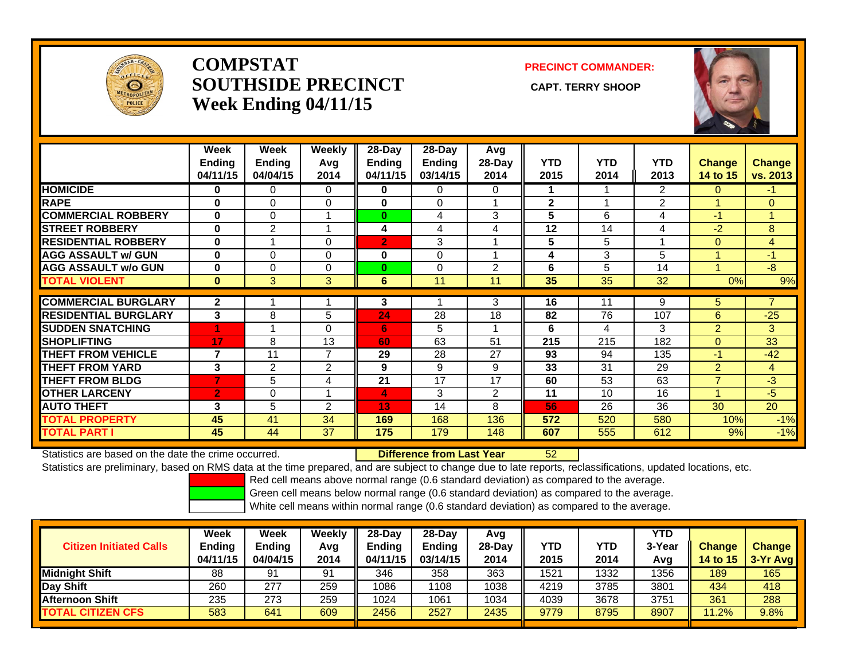

# **COMPSTATSOUTHSIDE PRECINCT** CAPT. TERRY SHOOP **Week Ending 04/11/15**

**PRECINCT COMMANDER:**



|                             | Week<br>Ending<br>04/11/15 | Week<br><b>Ending</b><br>04/04/15 | Weekly<br>Avg<br>2014 | $28$ -Day<br>Ending<br>04/11/15 | $28$ -Day<br>Ending<br>03/14/15 | Avg<br>28-Day<br>2014 | <b>YTD</b><br>2015 | <b>YTD</b><br>2014 | <b>YTD</b><br>2013 | <b>Change</b><br>14 to 15 | <b>Change</b><br>vs. 2013 |
|-----------------------------|----------------------------|-----------------------------------|-----------------------|---------------------------------|---------------------------------|-----------------------|--------------------|--------------------|--------------------|---------------------------|---------------------------|
| <b>HOMICIDE</b>             | 0                          | 0                                 | $\Omega$              | 0                               | $\Omega$                        | 0                     | 1.                 |                    | 2                  | 0                         | -1                        |
| <b>RAPE</b>                 | $\bf{0}$                   | $\Omega$                          | $\mathbf 0$           | $\mathbf 0$                     | 0                               |                       | $\mathbf{2}$       | $\overline{ }$     | $\overline{2}$     |                           | $\overline{0}$            |
| <b>COMMERCIAL ROBBERY</b>   | $\bf{0}$                   | $\Omega$                          |                       | $\bf{0}$                        | 4                               | 3                     | 5                  | 6                  | 4                  | $-1$                      | 4                         |
| <b>STREET ROBBERY</b>       | $\bf{0}$                   | 2                                 |                       | 4                               | 4                               | 4                     | 12                 | 14                 | 4                  | $-2$                      | 8                         |
| <b>RESIDENTIAL ROBBERY</b>  | $\mathbf{0}$               |                                   | $\Omega$              | $\overline{2}$                  | 3                               |                       | 5                  | 5                  | 4                  | $\Omega$                  | 4                         |
| <b>AGG ASSAULT w/ GUN</b>   | $\bf{0}$                   | $\Omega$                          | $\Omega$              | $\bf{0}$                        | 0                               |                       | 4                  | 3                  | 5                  |                           | $-1$                      |
| <b>AGG ASSAULT w/o GUN</b>  | $\bf{0}$                   | $\Omega$                          | $\Omega$              | $\bf{0}$                        | 0                               | $\overline{2}$        | 6                  | 5                  | 14                 |                           | $-8$                      |
| <b>TOTAL VIOLENT</b>        | $\mathbf{0}$               | 3                                 | 3                     | 6                               | 11                              | 11                    | 35                 | 35                 | 32                 | 0%                        | 9%                        |
|                             |                            |                                   |                       |                                 |                                 |                       |                    |                    |                    |                           |                           |
| <b>COMMERCIAL BURGLARY</b>  | $\overline{2}$             |                                   |                       | 3                               |                                 | 3                     | 16                 | 11                 | 9                  | 5.                        | $\overline{7}$            |
| <b>RESIDENTIAL BURGLARY</b> | 3                          | 8                                 | 5                     | 24                              | 28                              | 18                    | 82                 | 76                 | 107                | 6                         | $-25$                     |
| <b>SUDDEN SNATCHING</b>     |                            |                                   | $\Omega$              | 6                               | 5                               |                       | 6                  | 4                  | 3                  | $\overline{2}$            | 3                         |
| <b>SHOPLIFTING</b>          | 17                         | 8                                 | 13                    | 60                              | 63                              | 51                    | 215                | 215                | 182                | $\Omega$                  | 33                        |
| <b>THEFT FROM VEHICLE</b>   | 7                          | 11                                | $\overline{7}$        | 29                              | 28                              | 27                    | 93                 | 94                 | 135                | $-1$                      | $-42$                     |
| <b>THEFT FROM YARD</b>      | 3                          | $\overline{2}$                    | 2                     | 9                               | 9                               | 9                     | 33                 | 31                 | 29                 | $\overline{2}$            | $\overline{4}$            |
| <b>THEFT FROM BLDG</b>      | 7                          | 5                                 | 4                     | 21                              | 17                              | 17                    | 60                 | 53                 | 63                 | $\overline{ }$            | $-3$                      |
| <b>OTHER LARCENY</b>        | $\overline{2}$             | 0                                 |                       | 4                               | 3                               | 2                     | 11                 | 10                 | 16                 |                           | $-5$                      |
| <b>AUTO THEFT</b>           | 3                          | 5                                 | 2                     | 13                              | 14                              | 8                     | 56                 | 26                 | 36                 | 30                        | 20                        |
| <b>TOTAL PROPERTY</b>       | 45                         | 41                                | 34                    | 169                             | 168                             | 136                   | 572                | 520                | 580                | 10%                       | $-1%$                     |
| <b>TOTAL PART I</b>         | 45                         | 44                                | 37                    | 175                             | 179                             | 148                   | 607                | 555                | 612                | 9%                        | $-1%$                     |

Statistics are based on the date the crime occurred. **Difference from Last Year** 

r 52

Statistics are preliminary, based on RMS data at the time prepared, and are subject to change due to late reports, reclassifications, updated locations, etc.

Red cell means above normal range (0.6 standard deviation) as compared to the average.

Green cell means below normal range (0.6 standard deviation) as compared to the average.

| <b>Citizen Initiated Calls</b> | Week<br><b>Ending</b><br>04/11/15 | Week<br><b>Ending</b><br>04/04/15 | Weekly<br>Avg<br>2014 | $28-Dav$<br>Endina<br>04/11/15 | $28-Dav$<br><b>Ending</b><br>03/14/15 | Avg<br>$28-Day$<br>2014 | <b>YTD</b><br>2015 | YTD<br>2014 | YTD<br>3-Year<br>Avg | <b>Change</b><br>14 to $15$ | <b>Change</b><br>3-Yr Avg |
|--------------------------------|-----------------------------------|-----------------------------------|-----------------------|--------------------------------|---------------------------------------|-------------------------|--------------------|-------------|----------------------|-----------------------------|---------------------------|
| Midnight Shift                 | 88                                | 91                                | 91                    | 346                            | 358                                   | 363                     | 1521               | 1332        | 1356                 | 189                         | 165                       |
| Day Shift                      | 260                               | 277                               | 259                   | 1086                           | 108                                   | 1038                    | 4219               | 3785        | 3801                 | 434                         | 418                       |
| <b>Afternoon Shift</b>         | 235                               | 273                               | 259                   | 1024                           | 1061                                  | 1034                    | 4039               | 3678        | 3751                 | 361                         | 288                       |
| <b>TOTAL CITIZEN CFS</b>       | 583                               | 641                               | 609                   | 2456                           | 2527                                  | 2435                    | 9779               | 8795        | 8907                 | 1.2%                        | 9.8%                      |